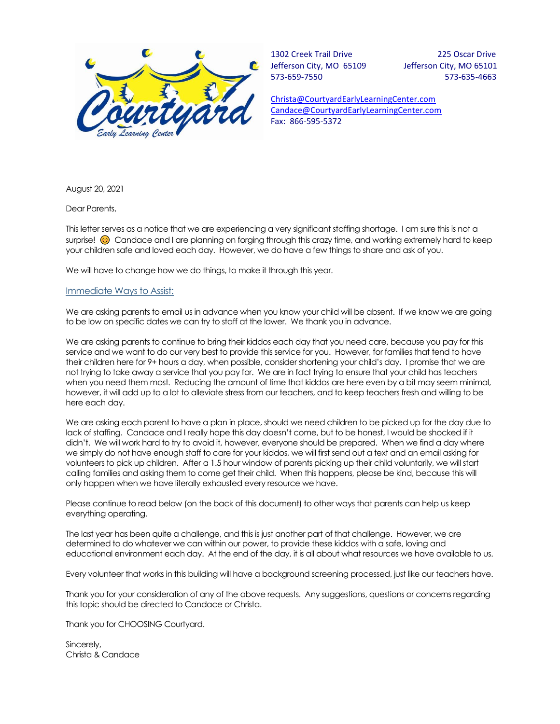

1302 Creek Trail Drive 225 Oscar Drive Jefferson City, MO 65109 Jefferson City, MO 65101 573-659-7550 573-635-4663

[Christa@CourtyardEarlyLearningCenter.com](mailto:Christa@CourtyardEarlyLearningCenter.com) [Candace@CourtyardEarlyLearningCenter.com](mailto:Candace@CourtyardEarlyLearningCenter.com) Fax: 866-595-5372

August 20, 2021

Dear Parents,

This letter serves as a notice that we are experiencing a very significant staffing shortage. I am sure this is not a surprise!  $\odot$  Candace and I are planning on forging through this crazy time, and working extremely hard to keep your children safe and loved each day. However, we do have a few things to share and ask of you.

We will have to change how we do things, to make it through this year.

## Immediate Ways to Assist:

We are asking parents to email us in advance when you know your child will be absent. If we know we are going to be low on specific dates we can try to staff at the lower. We thank you in advance.

We are asking parents to continue to bring their kiddos each day that you need care, because you pay for this service and we want to do our very best to provide this service for you. However, for families that tend to have their children here for 9+ hours a day, when possible, consider shortening your child's day. I promise that we are not trying to take away a service that you pay for. We are in fact trying to ensure that your child has teachers when you need them most. Reducing the amount of time that kiddos are here even by a bit may seem minimal, however, it will add up to a lot to alleviate stress from our teachers, and to keep teachers fresh and willing to be here each day.

We are asking each parent to have a plan in place, should we need children to be picked up for the day due to lack of staffing. Candace and I really hope this day doesn't come, but to be honest, I would be shocked if it didn't. We will work hard to try to avoid it, however, everyone should be prepared. When we find a day where we simply do not have enough staff to care for your kiddos, we will first send out a text and an email asking for volunteers to pick up children. After a 1.5 hour window of parents picking up their child voluntarily, we will start calling families and asking them to come get their child. When this happens, please be kind, because this will only happen when we have literally exhausted every resource we have.

Please continue to read below (on the back of this document) to other ways that parents can help us keep everything operating.

The last year has been quite a challenge, and this is just another part of that challenge. However, we are determined to do whatever we can within our power, to provide these kiddos with a safe, loving and educational environment each day. At the end of the day, it is all about what resources we have available to us.

Every volunteer that works in this building will have a background screening processed, just like our teachers have.

Thank you for your consideration of any of the above requests. Any suggestions, questions or concerns regarding this topic should be directed to Candace or Christa.

Thank you for CHOOSING Courtyard.

Sincerely, Christa & Candace